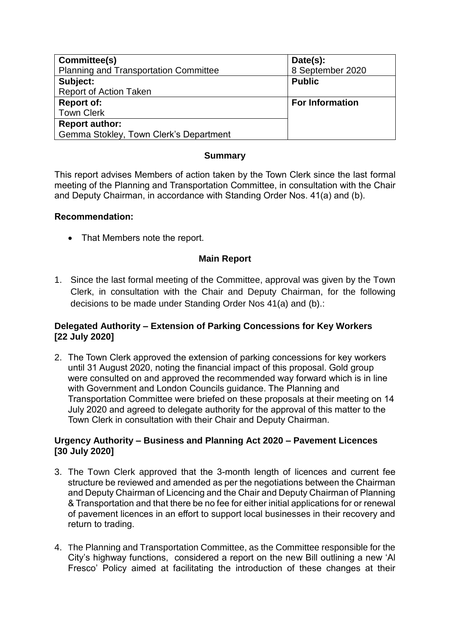| Committee(s)                                 | Date(s):               |
|----------------------------------------------|------------------------|
| <b>Planning and Transportation Committee</b> | 8 September 2020       |
| Subject:                                     | <b>Public</b>          |
| Report of Action Taken                       |                        |
| <b>Report of:</b>                            | <b>For Information</b> |
| <b>Town Clerk</b>                            |                        |
| <b>Report author:</b>                        |                        |
| Gemma Stokley, Town Clerk's Department       |                        |

### **Summary**

This report advises Members of action taken by the Town Clerk since the last formal meeting of the Planning and Transportation Committee, in consultation with the Chair and Deputy Chairman, in accordance with Standing Order Nos. 41(a) and (b).

#### **Recommendation:**

• That Members note the report.

#### **Main Report**

1. Since the last formal meeting of the Committee, approval was given by the Town Clerk, in consultation with the Chair and Deputy Chairman, for the following decisions to be made under Standing Order Nos 41(a) and (b).:

## **Delegated Authority – Extension of Parking Concessions for Key Workers [22 July 2020]**

2. The Town Clerk approved the extension of parking concessions for key workers until 31 August 2020, noting the financial impact of this proposal. Gold group were consulted on and approved the recommended way forward which is in line with Government and London Councils guidance. The Planning and Transportation Committee were briefed on these proposals at their meeting on 14 July 2020 and agreed to delegate authority for the approval of this matter to the Town Clerk in consultation with their Chair and Deputy Chairman.

#### **Urgency Authority – Business and Planning Act 2020 – Pavement Licences [30 July 2020]**

- 3. The Town Clerk approved that the 3-month length of licences and current fee structure be reviewed and amended as per the negotiations between the Chairman and Deputy Chairman of Licencing and the Chair and Deputy Chairman of Planning & Transportation and that there be no fee for either initial applications for or renewal of pavement licences in an effort to support local businesses in their recovery and return to trading.
- 4. The Planning and Transportation Committee, as the Committee responsible for the City's highway functions, considered a report on the new Bill outlining a new 'Al Fresco' Policy aimed at facilitating the introduction of these changes at their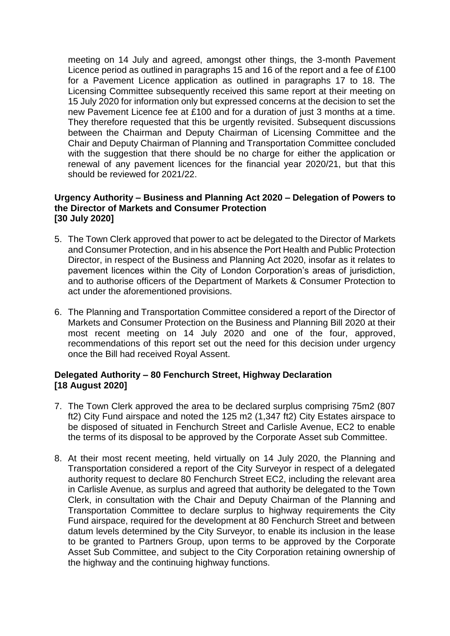meeting on 14 July and agreed, amongst other things, the 3-month Pavement Licence period as outlined in paragraphs 15 and 16 of the report and a fee of £100 for a Pavement Licence application as outlined in paragraphs 17 to 18. The Licensing Committee subsequently received this same report at their meeting on 15 July 2020 for information only but expressed concerns at the decision to set the new Pavement Licence fee at £100 and for a duration of just 3 months at a time. They therefore requested that this be urgently revisited. Subsequent discussions between the Chairman and Deputy Chairman of Licensing Committee and the Chair and Deputy Chairman of Planning and Transportation Committee concluded with the suggestion that there should be no charge for either the application or renewal of any pavement licences for the financial year 2020/21, but that this should be reviewed for 2021/22.

#### **Urgency Authority – Business and Planning Act 2020 – Delegation of Powers to the Director of Markets and Consumer Protection [30 July 2020]**

- 5. The Town Clerk approved that power to act be delegated to the Director of Markets and Consumer Protection, and in his absence the Port Health and Public Protection Director, in respect of the Business and Planning Act 2020, insofar as it relates to pavement licences within the City of London Corporation's areas of jurisdiction, and to authorise officers of the Department of Markets & Consumer Protection to act under the aforementioned provisions.
- 6. The Planning and Transportation Committee considered a report of the Director of Markets and Consumer Protection on the Business and Planning Bill 2020 at their most recent meeting on 14 July 2020 and one of the four, approved, recommendations of this report set out the need for this decision under urgency once the Bill had received Royal Assent.

## **Delegated Authority – 80 Fenchurch Street, Highway Declaration [18 August 2020]**

- 7. The Town Clerk approved the area to be declared surplus comprising 75m2 (807 ft2) City Fund airspace and noted the 125 m2 (1,347 ft2) City Estates airspace to be disposed of situated in Fenchurch Street and Carlisle Avenue, EC2 to enable the terms of its disposal to be approved by the Corporate Asset sub Committee.
- 8. At their most recent meeting, held virtually on 14 July 2020, the Planning and Transportation considered a report of the City Surveyor in respect of a delegated authority request to declare 80 Fenchurch Street EC2, including the relevant area in Carlisle Avenue, as surplus and agreed that authority be delegated to the Town Clerk, in consultation with the Chair and Deputy Chairman of the Planning and Transportation Committee to declare surplus to highway requirements the City Fund airspace, required for the development at 80 Fenchurch Street and between datum levels determined by the City Surveyor, to enable its inclusion in the lease to be granted to Partners Group, upon terms to be approved by the Corporate Asset Sub Committee, and subject to the City Corporation retaining ownership of the highway and the continuing highway functions.